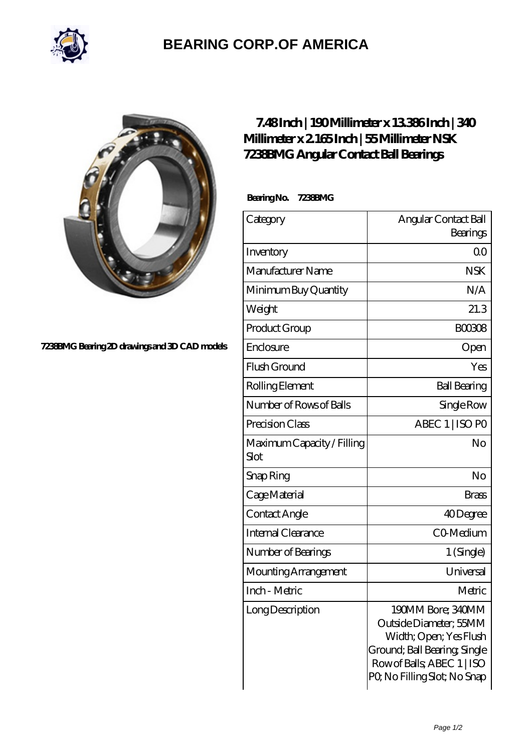

## **[BEARING CORP.OF AMERICA](https://bluemondayreview.com)**



## **[7238BMG Bearing 2D drawings and 3D CAD models](https://bluemondayreview.com/pic-172758.html)**

## **[7.48 Inch | 190 Millimeter x 13.386 Inch | 340](https://bluemondayreview.com/bs-172758-nsk-7238bmg-angular-contact-ball-bearings.html) [Millimeter x 2.165 Inch | 55 Millimeter NSK](https://bluemondayreview.com/bs-172758-nsk-7238bmg-angular-contact-ball-bearings.html) [7238BMG Angular Contact Ball Bearings](https://bluemondayreview.com/bs-172758-nsk-7238bmg-angular-contact-ball-bearings.html)**

 **Bearing No. 7238BMG**

| Category                           | Angular Contact Ball                                                                                                                                               |
|------------------------------------|--------------------------------------------------------------------------------------------------------------------------------------------------------------------|
|                                    | Bearings                                                                                                                                                           |
| Inventory                          | 0 <sub>0</sub>                                                                                                                                                     |
| Manufacturer Name                  | <b>NSK</b>                                                                                                                                                         |
| Minimum Buy Quantity               | N/A                                                                                                                                                                |
| Weight                             | 21.3                                                                                                                                                               |
| Product Group                      | <b>BOO3O8</b>                                                                                                                                                      |
| Enclosure                          | Open                                                                                                                                                               |
| Flush Ground                       | Yes                                                                                                                                                                |
| Rolling Element                    | <b>Ball Bearing</b>                                                                                                                                                |
| Number of Rows of Balls            | Single Row                                                                                                                                                         |
| Precision Class                    | ABEC 1   ISO PO                                                                                                                                                    |
| Maximum Capacity / Filling<br>Slot | No                                                                                                                                                                 |
| Snap Ring                          | No                                                                                                                                                                 |
| Cage Material                      | <b>Brass</b>                                                                                                                                                       |
| Contact Angle                      | 40Degree                                                                                                                                                           |
| Internal Clearance                 | CO-Medium                                                                                                                                                          |
| Number of Bearings                 | 1 (Single)                                                                                                                                                         |
| Mounting Arrangement               | Universal                                                                                                                                                          |
| Inch - Metric                      | Metric                                                                                                                                                             |
| Long Description                   | 190MM Bore; 340MM<br>Outside Diameter; 55MM<br>Width; Open; Yes Flush<br>Ground; Ball Bearing, Single<br>Row of Balls, ABEC 1   ISO<br>PQ No Filling Slot; No Snap |